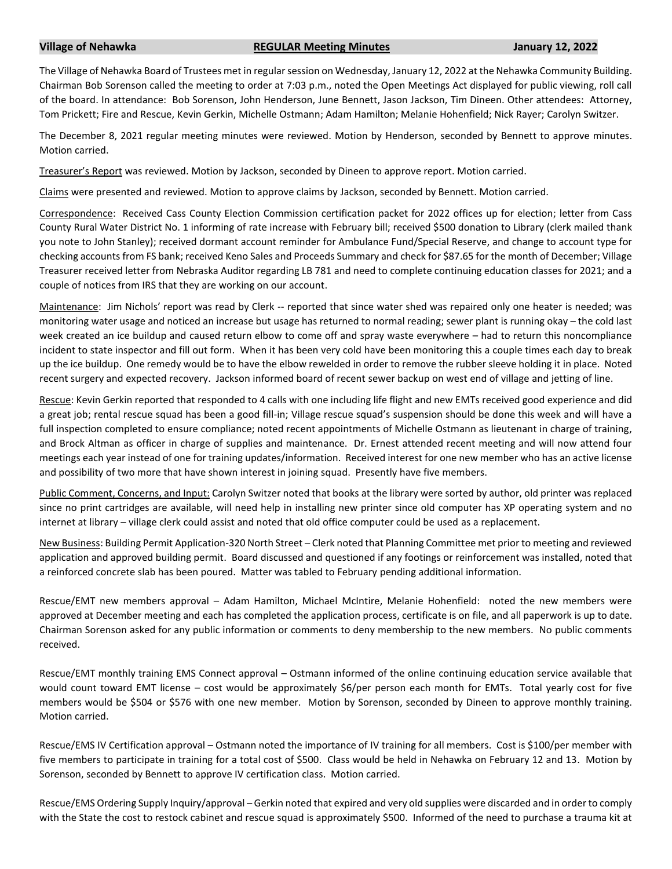## **Village of Nehawka REGULAR Meeting Minutes January 12, 2022**

The Village of Nehawka Board of Trustees met in regular session on Wednesday, January 12, 2022 at the Nehawka Community Building. Chairman Bob Sorenson called the meeting to order at 7:03 p.m., noted the Open Meetings Act displayed for public viewing, roll call of the board. In attendance: Bob Sorenson, John Henderson, June Bennett, Jason Jackson, Tim Dineen. Other attendees: Attorney, Tom Prickett; Fire and Rescue, Kevin Gerkin, Michelle Ostmann; Adam Hamilton; Melanie Hohenfield; Nick Rayer; Carolyn Switzer.

The December 8, 2021 regular meeting minutes were reviewed. Motion by Henderson, seconded by Bennett to approve minutes. Motion carried.

Treasurer's Report was reviewed. Motion by Jackson, seconded by Dineen to approve report. Motion carried.

Claims were presented and reviewed. Motion to approve claims by Jackson, seconded by Bennett. Motion carried.

Correspondence: Received Cass County Election Commission certification packet for 2022 offices up for election; letter from Cass County Rural Water District No. 1 informing of rate increase with February bill; received \$500 donation to Library (clerk mailed thank you note to John Stanley); received dormant account reminder for Ambulance Fund/Special Reserve, and change to account type for checking accounts from FS bank; received Keno Sales and Proceeds Summary and check for \$87.65 for the month of December; Village Treasurer received letter from Nebraska Auditor regarding LB 781 and need to complete continuing education classes for 2021; and a couple of notices from IRS that they are working on our account.

Maintenance: Jim Nichols' report was read by Clerk -- reported that since water shed was repaired only one heater is needed; was monitoring water usage and noticed an increase but usage has returned to normal reading; sewer plant is running okay – the cold last week created an ice buildup and caused return elbow to come off and spray waste everywhere – had to return this noncompliance incident to state inspector and fill out form. When it has been very cold have been monitoring this a couple times each day to break up the ice buildup. One remedy would be to have the elbow rewelded in order to remove the rubber sleeve holding it in place. Noted recent surgery and expected recovery. Jackson informed board of recent sewer backup on west end of village and jetting of line.

Rescue: Kevin Gerkin reported that responded to 4 calls with one including life flight and new EMTs received good experience and did a great job; rental rescue squad has been a good fill-in; Village rescue squad's suspension should be done this week and will have a full inspection completed to ensure compliance; noted recent appointments of Michelle Ostmann as lieutenant in charge of training, and Brock Altman as officer in charge of supplies and maintenance. Dr. Ernest attended recent meeting and will now attend four meetings each year instead of one for training updates/information. Received interest for one new member who has an active license and possibility of two more that have shown interest in joining squad. Presently have five members.

Public Comment, Concerns, and Input: Carolyn Switzer noted that books at the library were sorted by author, old printer was replaced since no print cartridges are available, will need help in installing new printer since old computer has XP operating system and no internet at library – village clerk could assist and noted that old office computer could be used as a replacement.

New Business: Building Permit Application-320 North Street – Clerk noted that Planning Committee met prior to meeting and reviewed application and approved building permit. Board discussed and questioned if any footings or reinforcement was installed, noted that a reinforced concrete slab has been poured. Matter was tabled to February pending additional information.

Rescue/EMT new members approval – Adam Hamilton, Michael McIntire, Melanie Hohenfield: noted the new members were approved at December meeting and each has completed the application process, certificate is on file, and all paperwork is up to date. Chairman Sorenson asked for any public information or comments to deny membership to the new members. No public comments received.

Rescue/EMT monthly training EMS Connect approval – Ostmann informed of the online continuing education service available that would count toward EMT license – cost would be approximately \$6/per person each month for EMTs. Total yearly cost for five members would be \$504 or \$576 with one new member. Motion by Sorenson, seconded by Dineen to approve monthly training. Motion carried.

Rescue/EMS IV Certification approval – Ostmann noted the importance of IV training for all members. Cost is \$100/per member with five members to participate in training for a total cost of \$500. Class would be held in Nehawka on February 12 and 13. Motion by Sorenson, seconded by Bennett to approve IV certification class. Motion carried.

Rescue/EMS Ordering Supply Inquiry/approval – Gerkin noted that expired and very old supplies were discarded and in order to comply with the State the cost to restock cabinet and rescue squad is approximately \$500. Informed of the need to purchase a trauma kit at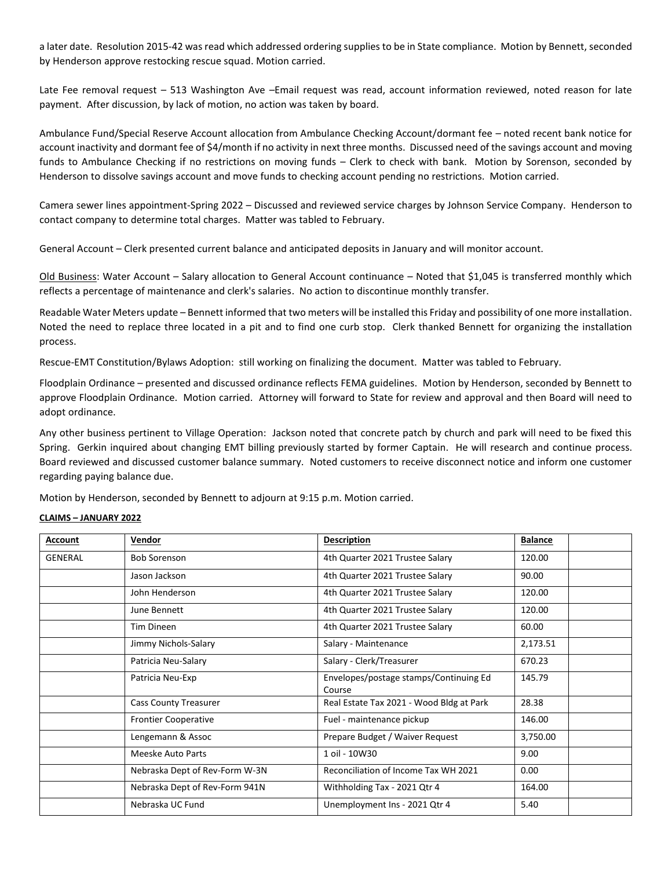a later date. Resolution 2015-42 was read which addressed ordering supplies to be in State compliance. Motion by Bennett, seconded by Henderson approve restocking rescue squad. Motion carried.

Late Fee removal request – 513 Washington Ave –Email request was read, account information reviewed, noted reason for late payment. After discussion, by lack of motion, no action was taken by board.

Ambulance Fund/Special Reserve Account allocation from Ambulance Checking Account/dormant fee – noted recent bank notice for account inactivity and dormant fee of \$4/month if no activity in next three months. Discussed need of the savings account and moving funds to Ambulance Checking if no restrictions on moving funds – Clerk to check with bank. Motion by Sorenson, seconded by Henderson to dissolve savings account and move funds to checking account pending no restrictions. Motion carried.

Camera sewer lines appointment-Spring 2022 – Discussed and reviewed service charges by Johnson Service Company. Henderson to contact company to determine total charges. Matter was tabled to February.

General Account – Clerk presented current balance and anticipated deposits in January and will monitor account.

Old Business: Water Account – Salary allocation to General Account continuance – Noted that \$1,045 is transferred monthly which reflects a percentage of maintenance and clerk's salaries. No action to discontinue monthly transfer.

Readable Water Meters update – Bennett informed that two meters will be installed this Friday and possibility of one more installation. Noted the need to replace three located in a pit and to find one curb stop. Clerk thanked Bennett for organizing the installation process.

Rescue-EMT Constitution/Bylaws Adoption: still working on finalizing the document. Matter was tabled to February.

Floodplain Ordinance – presented and discussed ordinance reflects FEMA guidelines. Motion by Henderson, seconded by Bennett to approve Floodplain Ordinance. Motion carried. Attorney will forward to State for review and approval and then Board will need to adopt ordinance.

Any other business pertinent to Village Operation: Jackson noted that concrete patch by church and park will need to be fixed this Spring. Gerkin inquired about changing EMT billing previously started by former Captain. He will research and continue process. Board reviewed and discussed customer balance summary. Noted customers to receive disconnect notice and inform one customer regarding paying balance due.

Motion by Henderson, seconded by Bennett to adjourn at 9:15 p.m. Motion carried.

## **CLAIMS – JANUARY 2022**

| <b>Account</b> | Vendor                         | <b>Description</b>                               | <b>Balance</b> |
|----------------|--------------------------------|--------------------------------------------------|----------------|
| <b>GENERAL</b> | <b>Bob Sorenson</b>            | 4th Quarter 2021 Trustee Salary                  | 120.00         |
|                | Jason Jackson                  | 4th Quarter 2021 Trustee Salary                  | 90.00          |
|                | John Henderson                 | 4th Quarter 2021 Trustee Salary                  | 120.00         |
|                | June Bennett                   | 4th Quarter 2021 Trustee Salary                  | 120.00         |
|                | Tim Dineen                     | 4th Quarter 2021 Trustee Salary                  | 60.00          |
|                | Jimmy Nichols-Salary           | Salary - Maintenance                             | 2,173.51       |
|                | Patricia Neu-Salary            | Salary - Clerk/Treasurer                         | 670.23         |
|                | Patricia Neu-Exp               | Envelopes/postage stamps/Continuing Ed<br>Course | 145.79         |
|                | <b>Cass County Treasurer</b>   | Real Estate Tax 2021 - Wood Bldg at Park         | 28.38          |
|                | <b>Frontier Cooperative</b>    | Fuel - maintenance pickup                        | 146.00         |
|                | Lengemann & Assoc              | Prepare Budget / Waiver Request                  | 3,750.00       |
|                | Meeske Auto Parts              | 1 oil - 10W30                                    | 9.00           |
|                | Nebraska Dept of Rev-Form W-3N | Reconciliation of Income Tax WH 2021             | 0.00           |
|                | Nebraska Dept of Rev-Form 941N | Withholding Tax - 2021 Qtr 4                     | 164.00         |
|                | Nebraska UC Fund               | Unemployment Ins - 2021 Qtr 4                    | 5.40           |